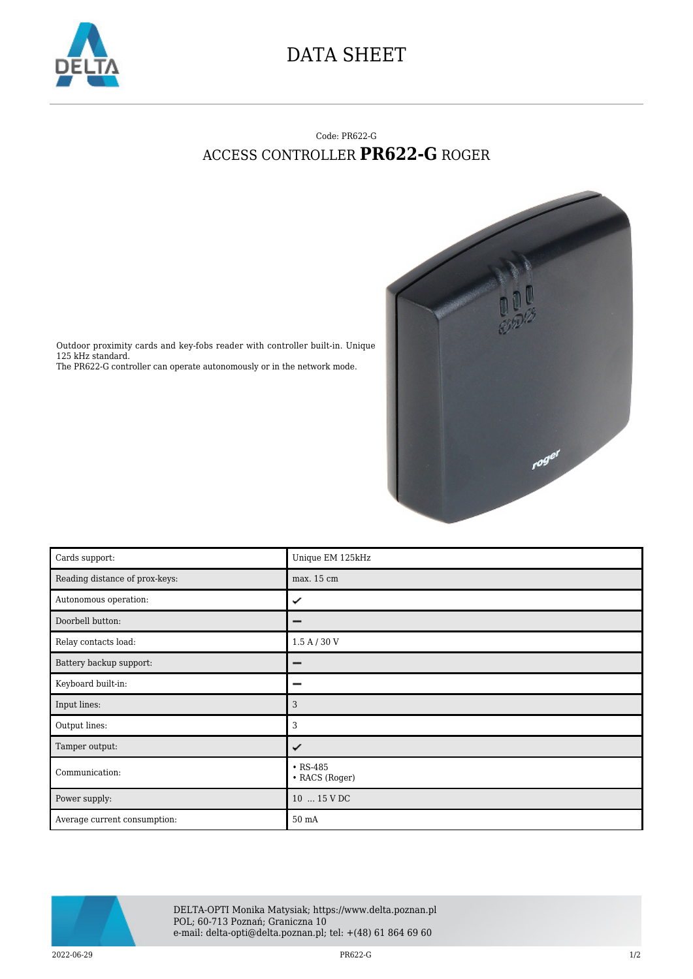

## DATA SHEET

## Code: PR622-G ACCESS CONTROLLER **PR622-G** ROGER



Outdoor proximity cards and key-fobs reader with controller built-in. Unique 125 kHz standard. The PR622-G controller can operate autonomously or in the network mode.

| Cards support:                 | Unique EM 125kHz                 |
|--------------------------------|----------------------------------|
| Reading distance of prox-keys: | max. 15 cm                       |
| Autonomous operation:          | ✓                                |
| Doorbell button:               |                                  |
| Relay contacts load:           | 1.5 A / 30 V                     |
| Battery backup support:        |                                  |
| Keyboard built-in:             | -                                |
| Input lines:                   | 3                                |
| Output lines:                  | 3                                |
| Tamper output:                 | ✓                                |
| Communication:                 | $\cdot$ RS-485<br>• RACS (Roger) |
| Power supply:                  | 10  15 V DC                      |
| Average current consumption:   | 50 mA                            |



DELTA-OPTI Monika Matysiak; https://www.delta.poznan.pl POL; 60-713 Poznań; Graniczna 10 e-mail: delta-opti@delta.poznan.pl; tel: +(48) 61 864 69 60